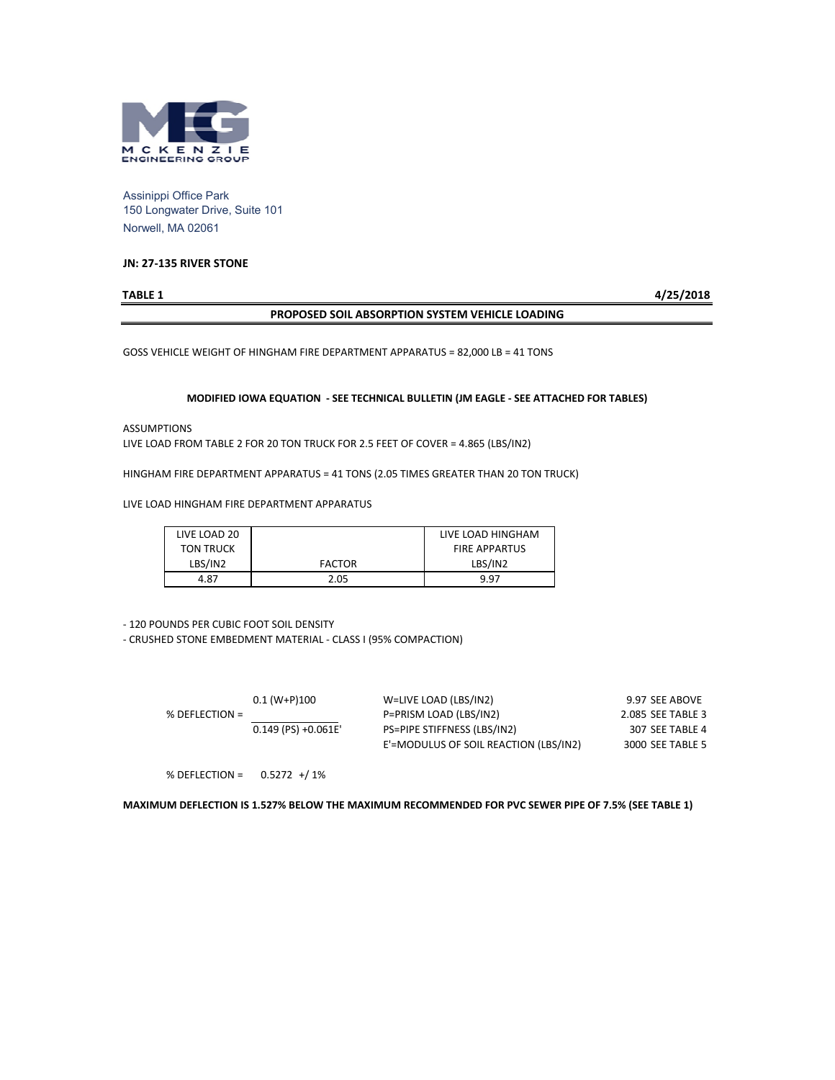

Assinippi Office Park 150 Longwater Drive, Suite 101 Norwell, MA 02061

#### **JN: 27-135 RIVER STONE**

**TABLE 1 4/25/2018**

#### **PROPOSED SOIL ABSORPTION SYSTEM VEHICLE LOADING**

GOSS VEHICLE WEIGHT OF HINGHAM FIRE DEPARTMENT APPARATUS = 82,000 LB = 41 TONS

#### **MODIFIED IOWA EQUATION - SEE TECHNICAL BULLETIN (JM EAGLE - SEE ATTACHED FOR TABLES)**

ASSUMPTIONS

LIVE LOAD FROM TABLE 2 FOR 20 TON TRUCK FOR 2.5 FEET OF COVER = 4.865 (LBS/IN2)

HINGHAM FIRE DEPARTMENT APPARATUS = 41 TONS (2.05 TIMES GREATER THAN 20 TON TRUCK)

LIVE LOAD HINGHAM FIRE DEPARTMENT APPARATUS

| LIVE LOAD 20     |               | LIVE LOAD HINGHAM    |
|------------------|---------------|----------------------|
| <b>TON TRUCK</b> |               | <b>FIRE APPARTUS</b> |
| LBS/IN2          | <b>FACTOR</b> | LBS/IN2              |
| 4.87             | 2.05          | 9.97                 |

- 120 POUNDS PER CUBIC FOOT SOIL DENSITY

- CRUSHED STONE EMBEDMENT MATERIAL - CLASS I (95% COMPACTION)

|                  | $0.1$ (W+P)100        | W=LIVE LOAD (LBS/IN2)                 | 9.97 SEE ABOVE    |
|------------------|-----------------------|---------------------------------------|-------------------|
| % DEFLECTION $=$ |                       | P=PRISM LOAD (LBS/IN2)                | 2.085 SEE TABLE 3 |
|                  | $0.149$ (PS) +0.061E' | PS=PIPE STIFFNESS (LBS/IN2)           | 307 SEE TABLE 4   |
|                  |                       | E'=MODULUS OF SOIL REACTION (LBS/IN2) | 3000 SEE TABLE 5  |
|                  |                       |                                       |                   |

% DEFLECTION = 0.5272 +/ 1%

#### **MAXIMUM DEFLECTION IS 1.527% BELOW THE MAXIMUM RECOMMENDED FOR PVC SEWER PIPE OF 7.5% (SEE TABLE 1)**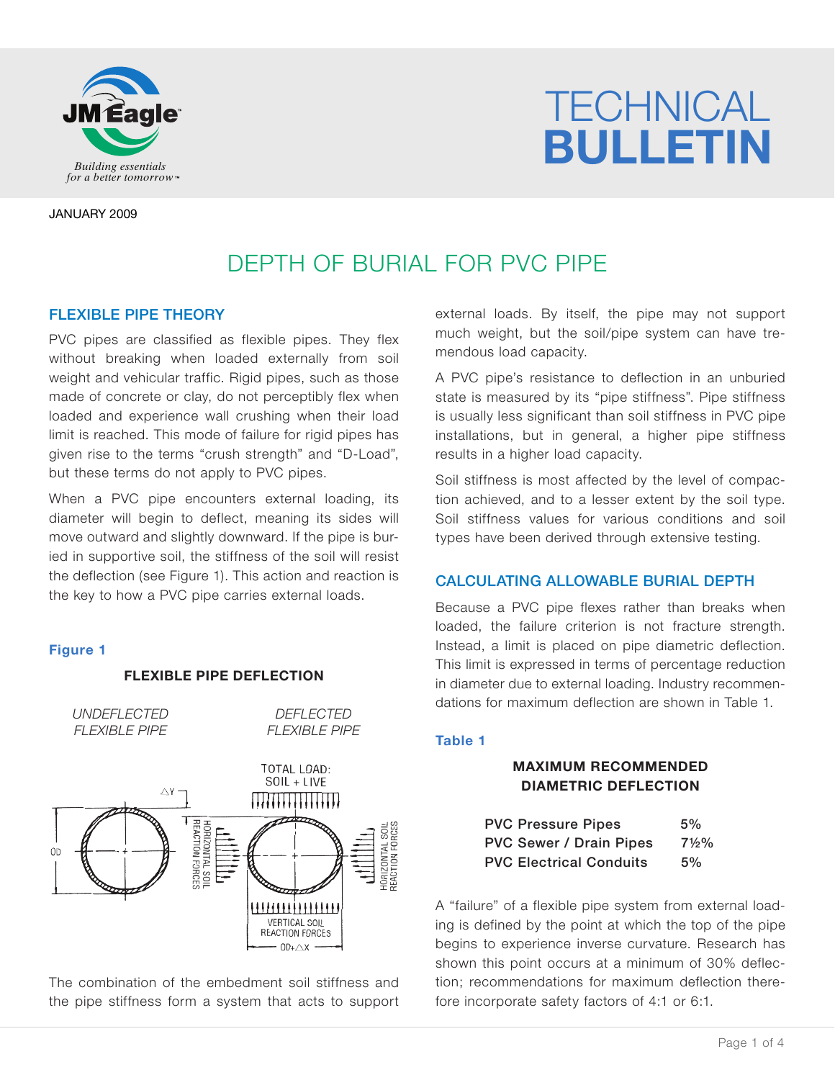

# **TECHNICAL** *Building essentials BULLETIN*

JANUARY 2009

# DEPTH OF BURIAL FOR PVC PIPE

# FLEXIBLE PIPE THEORY

PVC pipes are classified as flexible pipes. They flex without breaking when loaded externally from soil weight and vehicular traffic. Rigid pipes, such as those made of concrete or clay, do not perceptibly flex when loaded and experience wall crushing when their load limit is reached. This mode of failure for rigid pipes has given rise to the terms "crush strength" and "D-Load", but these terms do not apply to PVC pipes.

When a PVC pipe encounters external loading, its diameter will begin to deflect, meaning its sides will move outward and slightly downward. If the pipe is buried in supportive soil, the stiffness of the soil will resist the deflection (see Figure 1). This action and reaction is the key to how a PVC pipe carries external loads.

# **Figure 1**

# **FLEXIBLE PIPE DEFLECTION**

*UNDEFLECTED FLEXIBLE PIPE*

## *DEFLECTED FLEXIBLE PIPE*



The combination of the embedment soil stiffness and the pipe stiffness form a system that acts to support external loads. By itself, the pipe may not support much weight, but the soil/pipe system can have tremendous load capacity.

A PVC pipe's resistance to deflection in an unburied state is measured by its "pipe stiffness". Pipe stiffness is usually less significant than soil stiffness in PVC pipe installations, but in general, a higher pipe stiffness results in a higher load capacity.

Soil stiffness is most affected by the level of compaction achieved, and to a lesser extent by the soil type. Soil stiffness values for various conditions and soil types have been derived through extensive testing.

# CALCULATING ALLOWABLE BURIAL DEPTH

Because a PVC pipe flexes rather than breaks when loaded, the failure criterion is not fracture strength. Instead, a limit is placed on pipe diametric deflection. This limit is expressed in terms of percentage reduction in diameter due to external loading. Industry recommendations for maximum deflection are shown in Table 1.

## **Table 1**

# **MAXIMUM RECOMMENDED DIAMETRIC DEFLECTION**

| <b>PVC Pressure Pipes</b>      | 5%               |
|--------------------------------|------------------|
| <b>PVC Sewer / Drain Pipes</b> | $7\frac{1}{2}\%$ |
| <b>PVC Electrical Conduits</b> | 5%               |

A "failure" of a flexible pipe system from external loading is defined by the point at which the top of the pipe begins to experience inverse curvature. Research has shown this point occurs at a minimum of 30% deflection; recommendations for maximum deflection therefore incorporate safety factors of 4:1 or 6:1.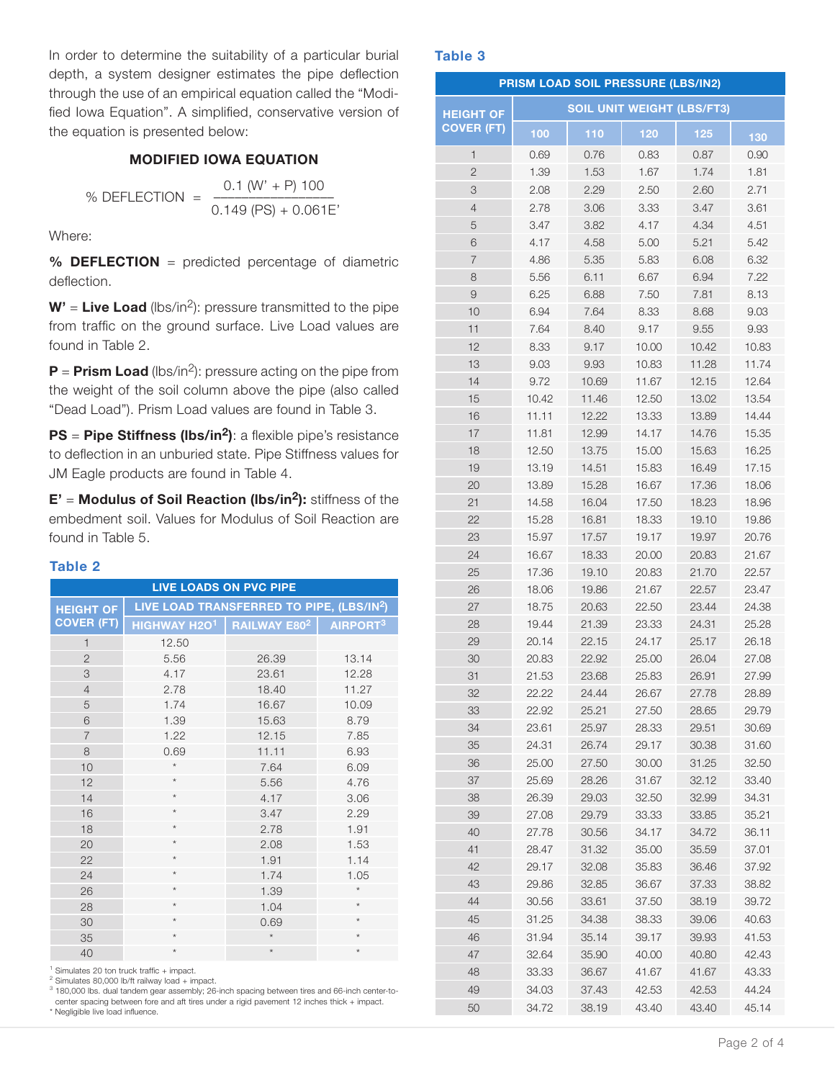In order to determine the suitability of a particular burial depth, a system designer estimates the pipe deflection through the use of an empirical equation called the "Modified Iowa Equation". A simplified, conservative version of the equation is presented below:

## **MODIFIED IOWA EQUATION**

% DEFLECTION = 
$$
\frac{0.1 (W' + P) 100}{0.149 (PS) + 0.061E'}
$$

Where:

**% DEFLECTION** = predicted percentage of diametric deflection.

**W'** = **Live Load** (lbs/in2): pressure transmitted to the pipe from traffic on the ground surface. Live Load values are found in Table 2.

**P** = **Prism Load** (lbs/in<sup>2</sup>): pressure acting on the pipe from the weight of the soil column above the pipe (also called "Dead Load"). Prism Load values are found in Table 3.

**PS** = **Pipe Stiffness (lbs/in2)**: a flexible pipe's resistance to deflection in an unburied state. Pipe Stiffness values for JM Eagle products are found in Table 4.

**E'** = **Modulus of Soil Reaction (lbs/in2):** stiffness of the embedment soil. Values for Modulus of Soil Reaction are found in Table 5.

#### **Table 2**

| <b>LIVE LOADS ON PVC PIPE</b> |                                                   |         |                                                       |  |  |
|-------------------------------|---------------------------------------------------|---------|-------------------------------------------------------|--|--|
| <b>HEIGHT OF</b>              |                                                   |         | LIVE LOAD TRANSFERRED TO PIPE, (LBS/IN <sup>2</sup> ) |  |  |
| <b>COVER (FT)</b>             | HIGHWAY H2O <sup>1</sup> RAILWAY E80 <sup>2</sup> |         | AIRPORT <sup>3</sup>                                  |  |  |
| $\mathbf{1}$                  | 12.50                                             |         |                                                       |  |  |
| $\overline{2}$                | 5.56                                              | 26.39   | 13.14                                                 |  |  |
| 3                             | 4.17                                              | 23.61   | 12.28                                                 |  |  |
| $\overline{4}$                | 2.78                                              | 18.40   | 11.27                                                 |  |  |
| 5                             | 1.74                                              | 16.67   | 10.09                                                 |  |  |
| 6                             | 1.39                                              | 15.63   | 8.79                                                  |  |  |
| $\overline{7}$                | 1.22                                              | 12.15   | 7.85                                                  |  |  |
| 8                             | 0.69                                              | 11.11   | 6.93                                                  |  |  |
| 10                            | $^{\star}$                                        | 7.64    | 6.09                                                  |  |  |
| 12                            | $^{\star}$                                        | 5.56    | 4.76                                                  |  |  |
| 14                            | $\star$                                           | 4.17    | 3.06                                                  |  |  |
| 16                            | $\star$                                           | 3.47    | 2.29                                                  |  |  |
| 18                            | $\star$                                           | 2.78    | 1.91                                                  |  |  |
| 20                            | $^{\star}$                                        | 2.08    | 1.53                                                  |  |  |
| 22                            | $\star$                                           | 1.91    | 1.14                                                  |  |  |
| 24                            | $\star$                                           | 1.74    | 1.05                                                  |  |  |
| 26                            | $\star$                                           | 1.39    | $\star$                                               |  |  |
| 28                            | $\star$                                           | 1.04    | $\star$                                               |  |  |
| 30                            | $^{\star}$                                        | 0.69    | $\star$                                               |  |  |
| 35                            | $\star$                                           | $\star$ | $\star$                                               |  |  |
| 40                            | $\star$                                           | $\star$ | $\star$                                               |  |  |

Simulates 20 ton truck traffic + impact.

<sup>3</sup> 180,000 lbs. dual tandem gear assembly; 26-inch spacing between tires and 66-inch center-tocenter spacing between fore and aft tires under a rigid pavement 12 inches thick + impact. \* Negligible live load influence.

#### **Table 3**

|                   |                | PRISM LOAD SOIL PRESSURE (LBS/IN2) |                                   |                |                |
|-------------------|----------------|------------------------------------|-----------------------------------|----------------|----------------|
| <b>HEIGHT OF</b>  |                |                                    | <b>SOIL UNIT WEIGHT (LBS/FT3)</b> |                |                |
| <b>COVER (FT)</b> | 100            | 110                                | 120                               | 125            | 130            |
| $\mathbf{1}$      | 0.69           | 0.76                               | 0.83                              | 0.87           | 0.90           |
| $\overline{2}$    | 1.39           | 1.53                               | 1.67                              | 1.74           | 1.81           |
| 3                 | 2.08           | 2.29                               | 2.50                              | 2.60           | 2.71           |
| 4                 | 2.78           | 3.06                               | 3.33                              | 3.47           | 3.61           |
| 5                 | 3.47           | 3.82                               | 4.17                              | 4.34           | 4.51           |
| 6                 | 4.17           | 4.58                               | 5.00                              | 5.21           | 5.42           |
| 7                 | 4.86           | 5.35                               | 5.83                              | 6.08           | 6.32           |
| 8                 | 5.56           | 6.11                               | 6.67                              | 6.94           | 7.22           |
| 9                 | 6.25           | 6.88                               | 7.50                              | 7.81           | 8.13           |
| 10                | 6.94           | 7.64                               | 8.33                              | 8.68           | 9.03           |
| 11                | 7.64           | 8.40                               | 9.17                              | 9.55           | 9.93           |
| 12                | 8.33           | 9.17                               | 10.00                             | 10.42          | 10.83          |
| 13                | 9.03           | 9.93                               | 10.83                             | 11.28          | 11.74          |
| 14                | 9.72           | 10.69                              | 11.67                             | 12.15          | 12.64          |
| 15                | 10.42          | 11.46                              | 12.50                             | 13.02          | 13.54          |
| 16                | 11.11          | 12.22                              | 13.33                             | 13.89          | 14.44          |
| 17                | 11.81          | 12.99                              | 14.17                             | 14.76          | 15.35          |
| 18                | 12.50          | 13.75                              | 15.00                             | 15.63          | 16.25          |
| 19                | 13.19          | 14.51                              | 15.83                             | 16.49          | 17.15          |
| 20                | 13.89          | 15.28                              | 16.67                             | 17.36          | 18.06          |
| 21                | 14.58          | 16.04                              | 17.50                             | 18.23          | 18.96          |
| 22                | 15.28          | 16.81                              | 18.33                             | 19.10          | 19.86          |
| 23                | 15.97          | 17.57                              | 19.17                             | 19.97          | 20.76          |
| 24                | 16.67          | 18.33                              | 20.00                             | 20.83          | 21.67          |
| 25                | 17.36          | 19.10                              | 20.83                             | 21.70          | 22.57          |
| 26                | 18.06          | 19.86                              | 21.67                             | 22.57          | 23.47          |
| 27                | 18.75          | 20.63                              | 22.50                             | 23.44          | 24.38          |
| 28                | 19.44          | 21.39                              | 23.33                             | 24.31          | 25.28          |
| 29                | 20.14          | 22.15                              | 24.17                             | 25.17          | 26.18          |
| 30                | 20.83          | 22.92                              | 25.00                             | 26.04          | 27.08          |
| 31                | 21.53          | 23.68                              | 25.83                             | 26.91          | 27.99          |
| 32                | 22.22          | 24.44                              | 26.67                             | 27.78          | 28.89          |
| 33                | 22.92          | 25.21                              | 27.50                             | 28.65          | 29.79          |
| 34                | 23.61          | 25.97                              | 28.33                             | 29.51          | 30.69          |
| 35                | 24.31          | 26.74                              | 29.17                             | 30.38          | 31.60          |
| 36                | 25.00          | 27.50                              | 30.00                             | 31.25          | 32.50          |
| 37                | 25.69          | 28.26                              | 31.67                             | 32.12          | 33.40          |
| 38                | 26.39          | 29.03                              | 32.50                             | 32.99          | 34.31          |
| 39                | 27.08          | 29.79                              | 33.33                             | 33.85          | 35.21          |
| 40                | 27.78          | 30.56                              | 34.17                             | 34.72          | 36.11          |
| 41                | 28.47          | 31.32                              | 35.00                             | 35.59          | 37.01          |
| 42                | 29.17          | 32.08                              | 35.83                             | 36.46          | 37.92          |
| 43                | 29.86          | 32.85                              | 36.67                             | 37.33          | 38.82          |
| 44                | 30.56          | 33.61                              | 37.50                             | 38.19          | 39.72          |
| 45                | 31.25          | 34.38                              | 38.33                             | 39.06          | 40.63          |
| 46                | 31.94          | 35.14                              | 39.17                             | 39.93          | 41.53          |
| 47<br>48          | 32.64          | 35.90                              | 40.00                             | 40.80          | 42.43          |
| 49                | 33.33<br>34.03 | 36.67<br>37.43                     | 41.67<br>42.53                    | 41.67<br>42.53 | 43.33<br>44.24 |
| 50                | 34.72          | 38.19                              | 43.40                             | 43.40          | 45.14          |

Simulates 80,000 lb/ft railway load + impact.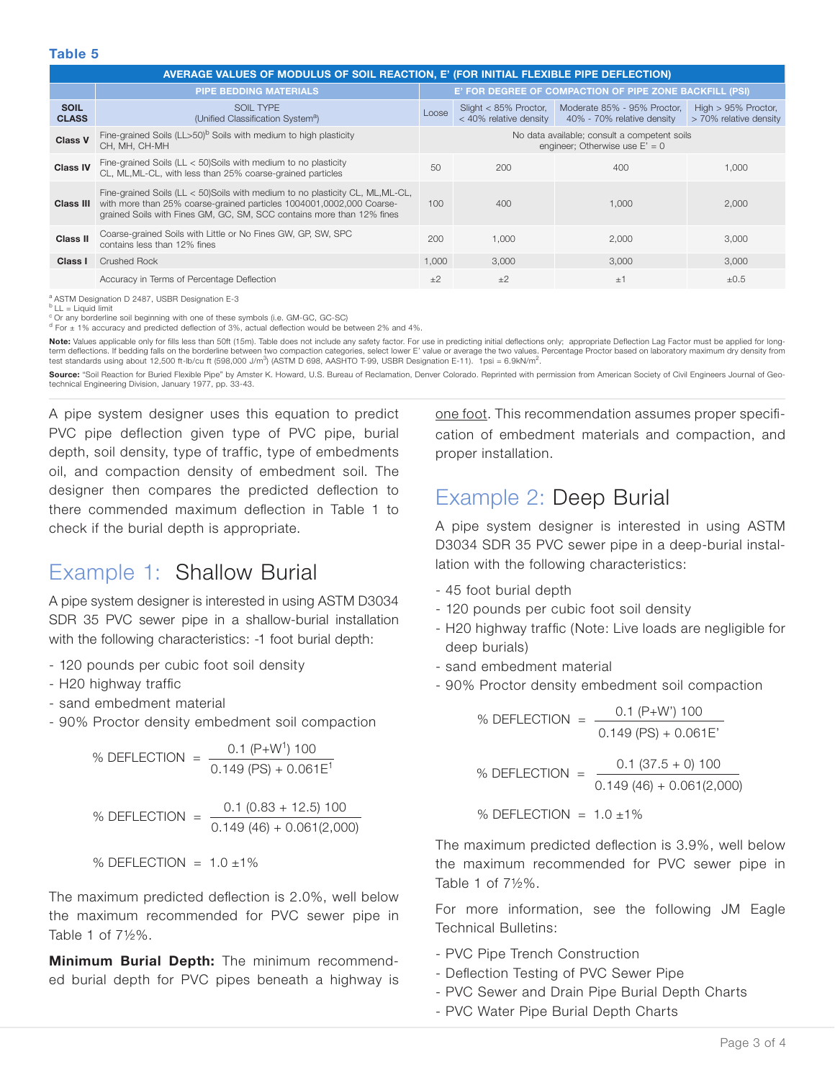#### **Table 5**

|                             | AVERAGE VALUES OF MODULUS OF SOIL REACTION, E' (FOR INITIAL FLEXIBLE PIPE DEFLECTION)                                                                                                                                                            |                                                                                  |                                                   |                                                           |                                                  |  |
|-----------------------------|--------------------------------------------------------------------------------------------------------------------------------------------------------------------------------------------------------------------------------------------------|----------------------------------------------------------------------------------|---------------------------------------------------|-----------------------------------------------------------|--------------------------------------------------|--|
|                             | <b>PIPE BEDDING MATERIALS</b>                                                                                                                                                                                                                    |                                                                                  |                                                   | E' FOR DEGREE OF COMPACTION OF PIPE ZONE BACKFILL (PSI)   |                                                  |  |
| <b>SOIL</b><br><b>CLASS</b> | SOIL TYPE<br>(Unified Classification System <sup>a</sup> )                                                                                                                                                                                       | Loose                                                                            | Slight $<$ 85% Proctor,<br>< 40% relative density | Moderate 85% - 95% Proctor,<br>40% - 70% relative density | High $> 95\%$ Proctor,<br>> 70% relative density |  |
| <b>Class V</b>              | Fine-grained Soils (LL>50) <sup>b</sup> Soils with medium to high plasticity<br>CH. MH. CH-MH                                                                                                                                                    | No data available; consult a competent soils<br>engineer; Otherwise use $E' = 0$ |                                                   |                                                           |                                                  |  |
| <b>Class IV</b>             | Fine-grained Soils ( $LL < 50$ )Soils with medium to no plasticity<br>CL, ML, ML-CL, with less than 25% coarse-grained particles                                                                                                                 | 50                                                                               | 200                                               | 400                                                       | 1.000                                            |  |
|                             | Fine-grained Soils (LL < 50) Soils with medium to no plasticity CL, ML, ML-CL,<br><b>Class III</b> with more than 25% coarse-grained particles 1004001,0002,000 Coarse-<br>grained Soils with Fines GM, GC, SM, SCC contains more than 12% fines | 100                                                                              | 400                                               | 1.000                                                     | 2.000                                            |  |
| Class II                    | Coarse-grained Soils with Little or No Fines GW, GP, SW, SPC<br>contains less than 12% fines                                                                                                                                                     | 200                                                                              | 1.000                                             | 2.000                                                     | 3.000                                            |  |
| Class I                     | <b>Crushed Rock</b>                                                                                                                                                                                                                              | 1.000                                                                            | 3.000                                             | 3.000                                                     | 3.000                                            |  |
|                             | Accuracy in Terms of Percentage Deflection                                                                                                                                                                                                       | $+2$                                                                             | $+2$                                              | ±1                                                        | $\pm 0.5$                                        |  |

a ASTM Designation D 2487, USBR Designation E-3

 $b$  LL = Liquid limit

<sup>c</sup> Or any borderline soil beginning with one of these symbols (i.e. GM-GC, GC-SC)<br><sup>d</sup> For ± 1% accuracy and predicted deflection of 3%, actual deflection would be between 2% and 4%.

Note: Values applicable only for fills less than 50ft (15m). Table does not include any safety factor. For use in predicting initial deflections only; appropriate Deflection Lag Factor must be applied for longterm deflections. If bedding falls on the borderline between two compaction categories, select lower E' value or average the two values. Percentage Proctor based on laboratory maximum dry density from test standards using about 12,500 ft-lb/cu ft (598,000 J/m<sup>3</sup>) (ASTM D 698, AASHTO T-99, USBR Designation E-11). 1psi = 6.9kN/m<sup>2</sup>.

Source: "Soil Reaction for Buried Flexible Pipe" by Amster K. Howard, U.S. Bureau of Reclamation, Denver Colorado. Reprinted with permission from American Society of Civil Engineers Journal of Geotechnical Engineering Division, January 1977, pp. 33-43.

A pipe system designer uses this equation to predict PVC pipe deflection given type of PVC pipe, burial depth, soil density, type of traffic, type of embedments oil, and compaction density of embedment soil. The designer then compares the predicted deflection to there commended maximum deflection in Table 1 to check if the burial depth is appropriate.

# Example 1: Shallow Burial

A pipe system designer is interested in using ASTM D3034 SDR 35 PVC sewer pipe in a shallow-burial installation with the following characteristics: -1 foot burial depth:

- 120 pounds per cubic foot soil density
- H20 highway traffic
- sand embedment material
- 90% Proctor density embedment soil compaction

% DEFLECTION = 
$$
\frac{0.1 (P+W^{1}) 100}{0.149 (PS) + 0.061E^{1}}
$$

% DEFLECTION = 
$$
\frac{0.1 (0.83 + 12.5) 100}{0.149 (46) + 0.061 (2,000)}
$$

$$
\%
$$
 DEFLECTION = 1.0 ±1%

The maximum predicted deflection is 2.0%, well below the maximum recommended for PVC sewer pipe in Table 1 of  $7\frac{1}{2}\%$ .

**Minimum Burial Depth:** The minimum recommended burial depth for PVC pipes beneath a highway is

one foot. This recommendation assumes proper specification of embedment materials and compaction, and proper installation.

# Example 2: Deep Burial

A pipe system designer is interested in using ASTM D3034 SDR 35 PVC sewer pipe in a deep-burial installation with the following characteristics:

- 45 foot burial depth
- 120 pounds per cubic foot soil density
- H20 highway traffic (Note: Live loads are negligible for deep burials)
- sand embedment material
- 90% Proctor density embedment soil compaction

% DEFLECTION = 
$$
\frac{0.1 (P+W') 100}{0.149 (PS) + 0.061E'}
$$
  
% DEFLECTION = 
$$
\frac{0.1 (37.5 + 0) 100}{0.149 (46) + 0.061 (2,000)}
$$

% DEFLECTION =  $1.0 \pm 1\%$ 

The maximum predicted deflection is 3.9%, well below the maximum recommended for PVC sewer pipe in Table 1 of  $7\frac{1}{2}\%$ .

For more information, see the following JM Eagle Technical Bulletins:

- PVC Pipe Trench Construction
- Deflection Testing of PVC Sewer Pipe
- PVC Sewer and Drain Pipe Burial Depth Charts
- PVC Water Pipe Burial Depth Charts